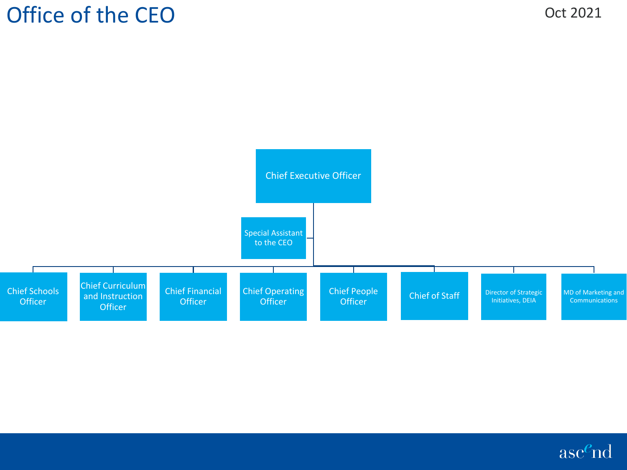

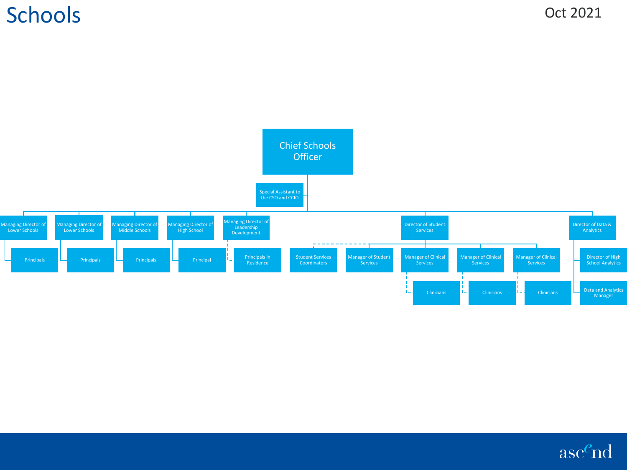## **Schools**



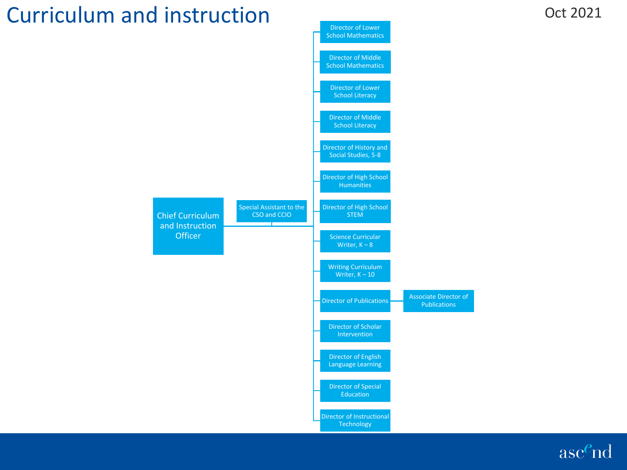## Curriculum and instruction

**Officer** 



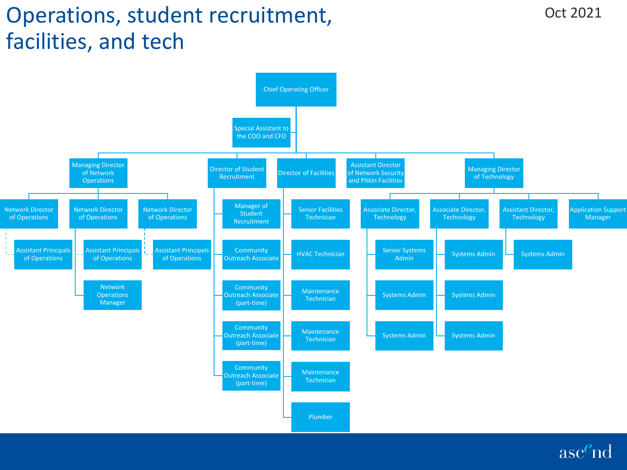# Operations, student recruitment, facilities, and tech



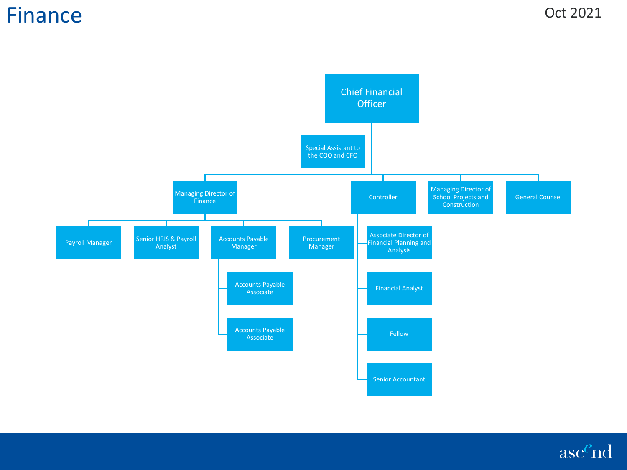### Finance



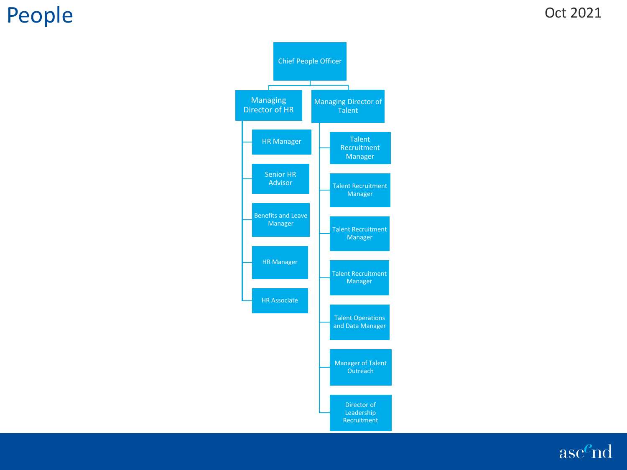## People

#### Oct 2021



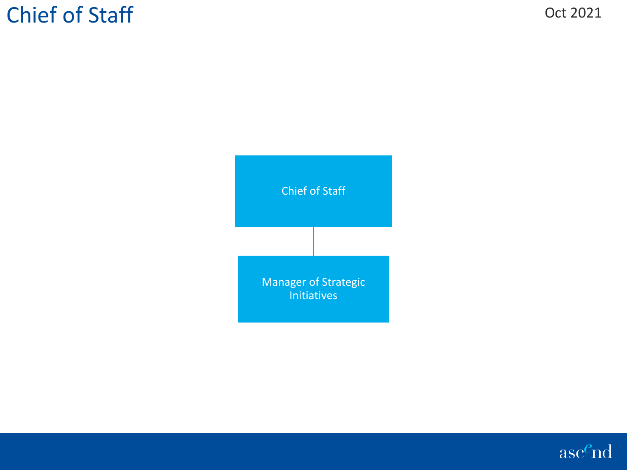